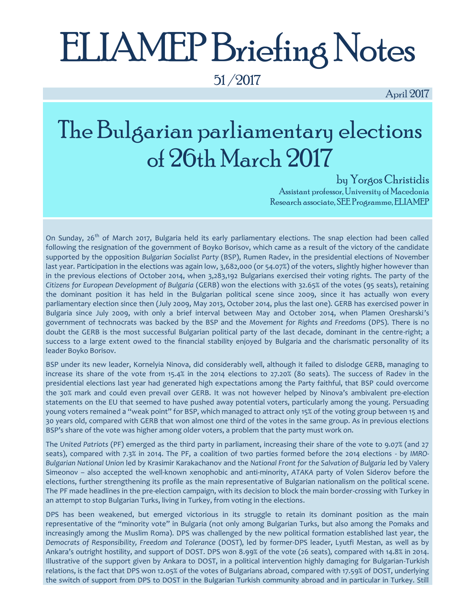# ELIAMEP Briefing Notes

51 /2017

April 2017

# The Bulgarian parliamentary elections of 26th March 2017

by Yorgos Christidis

Assistant professor, University of Macedonia Research associate, SEE Programme, ELIAMEP

On Sunday, 26<sup>th</sup> of March 2017, Bulgaria held its early parliamentary elections. The snap election had been called following the resignation of the government of Boyko Borisov, which came as a result of the victory of the candidate supported by the opposition *Bulgarian Socialist Party* (BSP), Rumen Radev, in the presidential elections of November last year. Participation in the elections was again low, 3,682,000 (or 54.07%) of the voters, slightly higher however than in the previous elections of October 2014, when 3,283,192 Bulgarians exercised their voting rights. The party of the *Citizens for European Development of Bulgaria* (GERB) won the elections with 32.65% of the votes (95 seats), retaining the dominant position it has held in the Bulgarian political scene since 2009, since it has actually won every parliamentary election since then (July 2009, May 2013, October 2014, plus the last one). GERB has exercised power in Bulgaria since July 2009, with only a brief interval between May and October 2014, when Plamen Oresharski's government of technocrats was backed by the BSP and the *Movement for Rights and Freedoms* (DPS). There is no doubt the GERB is the most successful Bulgarian political party of the last decade, dominant in the centre-right; a success to a large extent owed to the financial stability enjoyed by Bulgaria and the charismatic personality of its leader Boyko Borisov.

BSP under its new leader, Kornelyia Ninova, did considerably well, although it failed to dislodge GERB, managing to increase its share of the vote from 15.4% in the 2014 elections to 27.20% (80 seats). The success of Radev in the presidential elections last year had generated high expectations among the Party faithful, that BSP could overcome the 30% mark and could even prevail over GERB. It was not however helped by Ninova's ambivalent pre-election statements on the EU that seemed to have pushed away potential voters, particularly among the young. Persuading young voters remained a "weak point" for BSP, which managed to attract only 15% of the voting group between 15 and 30 years old, compared with GERB that won almost one third of the votes in the same group. As in previous elections BSP's share of the vote was higher among older voters, a problem that the party must work on.

The *United Patriots* (PF) emerged as the third party in parliament, increasing their share of the vote to 9.07% (and 27 seats), compared with 7.3% in 2014. The PF, a coalition of two parties formed before the 2014 elections - by *IMRO-Bulgarian National Union* led by Krasimir Karakachanov and the *National Front for the Salvation of Bulgaria* led by Valery Simeonov – also accepted the well-known xenophobic and anti-minority, *ATAKA* party of Volen Siderov before the elections, further strengthening its profile as the main representative of Bulgarian nationalism on the political scene. The PF made headlines in the pre-election campaign, with its decision to block the main border-crossing with Turkey in an attempt to stop Bulgarian Turks, living in Turkey, from voting in the elections.

DPS has been weakened, but emerged victorious in its struggle to retain its dominant position as the main representative of the "minority vote" in Bulgaria (not only among Bulgarian Turks, but also among the Pomaks and increasingly among the Muslim Roma). DPS was challenged by the new political formation established last year, the *Democrats of Responsibility, Freedom and Tolerance* (DOST), led by former-DPS leader, Lyutfi Mestan, as well as by Ankara's outright hostility, and support of DOST. DPS won 8.99% of the vote (26 seats), compared with 14.8% in 2014. Illustrative of the support given by Ankara to DOST, in a political intervention highly damaging for Bulgarian-Turkish relations, is the fact that DPS won 12.05% of the votes of Bulgarians abroad, compared with 17.59% of DOST, underlying the switch of support from DPS to DOST in the Bulgarian Turkish community abroad and in particular in Turkey. Still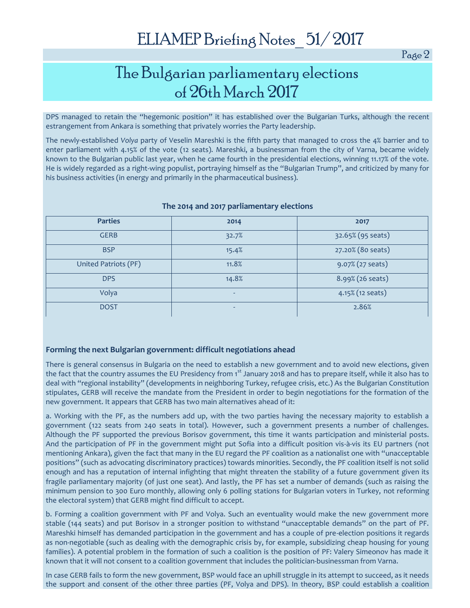Page 2

## The Bulgarian parliamentary elections of 26th March 2017

DPS managed to retain the "hegemonic position" it has established over the Bulgarian Turks, although the recent estrangement from Ankara is something that privately worries the Party leadership.

The newly-established *Volya* party of Veselin Mareshki is the fifth party that managed to cross the 4% barrier and to enter parliament with 4.15% of the vote (12 seats). Mareshki, a businessman from the city of Varna, became widely known to the Bulgarian public last year, when he came fourth in the presidential elections, winning 11.17% of the vote. He is widely regarded as a right-wing populist, portraying himself as the "Bulgarian Trump", and criticized by many for his business activities (in energy and primarily in the pharmaceutical business).

| <b>Parties</b>       | 2014  | 2017                |
|----------------------|-------|---------------------|
| <b>GERB</b>          | 32.7% | 32.65% (95 seats)   |
| <b>BSP</b>           | 15.4% | 27.20% (80 seats)   |
| United Patriots (PF) | 11.8% | 9.07% (27 seats)    |
| <b>DPS</b>           | 14.8% | 8.99% (26 seats)    |
| Volya                | ٠     | $4.15\%$ (12 seats) |
| <b>DOST</b>          | ۰     | 2.86%               |

#### **The 2014 and 2017 parliamentary elections**

#### **Forming the next Bulgarian government: difficult negotiations ahead**

There is general consensus in Bulgaria on the need to establish a new government and to avoid new elections, given the fact that the country assumes the EU Presidency from 1<sup>st</sup> January 2018 and has to prepare itself, while it also has to deal with "regional instability" (developments in neighboring Turkey, refugee crisis, etc.) As the Bulgarian Constitution stipulates, GERB will receive the mandate from the President in order to begin negotiations for the formation of the new government. It appears that GERB has two main alternatives ahead of it:

a. Working with the PF, as the numbers add up, with the two parties having the necessary majority to establish a government (122 seats from 240 seats in total). However, such a government presents a number of challenges. Although the PF supported the previous Borisov government, this time it wants participation and ministerial posts. And the participation of PF in the government might put Sofia into a difficult position vis-à-vis its EU partners (not mentioning Ankara), given the fact that many in the EU regard the PF coalition as a nationalist one with "unacceptable positions" (such as advocating discriminatory practices) towards minorities. Secondly, the PF coalition itself is not solid enough and has a reputation of internal infighting that might threaten the stability of a future government given its fragile parliamentary majority (of just one seat). And lastly, the PF has set a number of demands (such as raising the minimum pension to 300 Euro monthly, allowing only 6 polling stations for Bulgarian voters in Turkey, not reforming the electoral system) that GERB might find difficult to accept.

b. Forming a coalition government with PF and Volya. Such an eventuality would make the new government more stable (144 seats) and put Borisov in a stronger position to withstand "unacceptable demands" on the part of PF. Mareshki himself has demanded participation in the government and has a couple of pre-election positions it regards as non-negotiable (such as dealing with the demographic crisis by, for example, subsidizing cheap housing for young families). A potential problem in the formation of such a coalition is the position of PF: Valery Simeonov has made it known that it will not consent to a coalition government that includes the politician-businessman from Varna.

In case GERB fails to form the new government, BSP would face an uphill struggle in its attempt to succeed, as it needs the support and consent of the other three parties (PF, Volya and DPS). In theory, BSP could establish a coalition